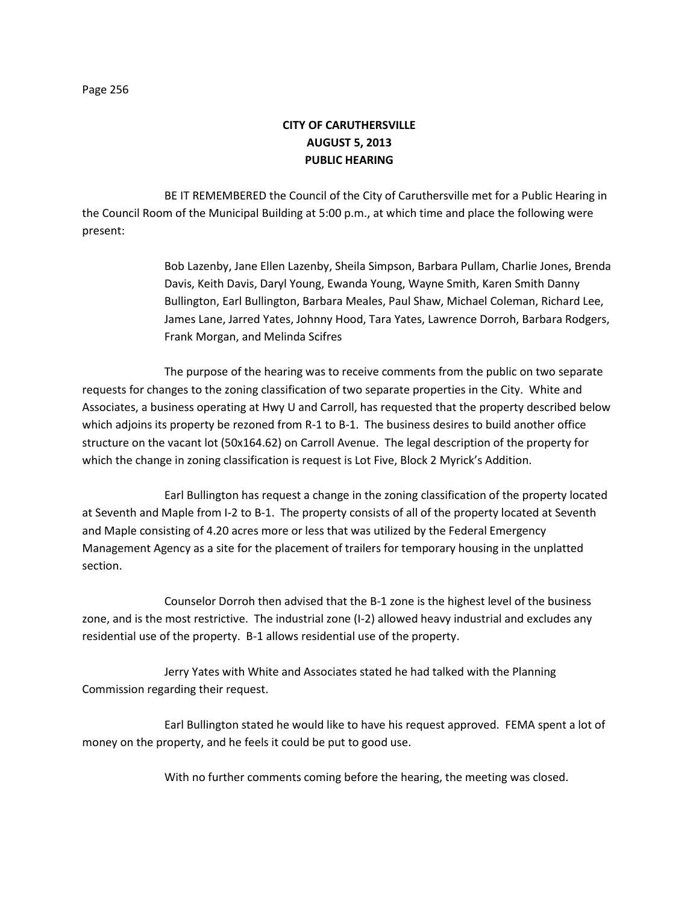## **CITY OF CARUTHERSVILLE AUGUST 5, 2013 PUBLIC HEARING**

BE IT REMEMBERED the Council of the City of Caruthersville met for a Public Hearing in the Council Room of the Municipal Building at 5:00 p.m., at which time and place the following were present:

> Bob Lazenby, Jane Ellen Lazenby, Sheila Simpson, Barbara Pullam, Charlie Jones, Brenda Davis, Keith Davis, Daryl Young, Ewanda Young, Wayne Smith, Karen Smith Danny Bullington, Earl Bullington, Barbara Meales, Paul Shaw, Michael Coleman, Richard Lee, James Lane, Jarred Yates, Johnny Hood, Tara Yates, Lawrence Dorroh, Barbara Rodgers, Frank Morgan, and Melinda Scifres

The purpose of the hearing was to receive comments from the public on two separate requests for changes to the zoning classification of two separate properties in the City. White and Associates, a business operating at Hwy U and Carroll, has requested that the property described below which adjoins its property be rezoned from R-1 to B-1. The business desires to build another office structure on the vacant lot (50x164.62) on Carroll Avenue. The legal description of the property for which the change in zoning classification is request is Lot Five, Block 2 Myrick's Addition.

Earl Bullington has request a change in the zoning classification of the property located at Seventh and Maple from I-2 to B-1. The property consists of all of the property located at Seventh and Maple consisting of 4.20 acres more or less that was utilized by the Federal Emergency Management Agency as a site for the placement of trailers for temporary housing in the unplatted section.

Counselor Dorroh then advised that the B-1 zone is the highest level of the business zone, and is the most restrictive. The industrial zone (I-2) allowed heavy industrial and excludes any residential use of the property. B-1 allows residential use of the property.

Jerry Yates with White and Associates stated he had talked with the Planning Commission regarding their request.

Earl Bullington stated he would like to have his request approved. FEMA spent a lot of money on the property, and he feels it could be put to good use.

With no further comments coming before the hearing, the meeting was closed.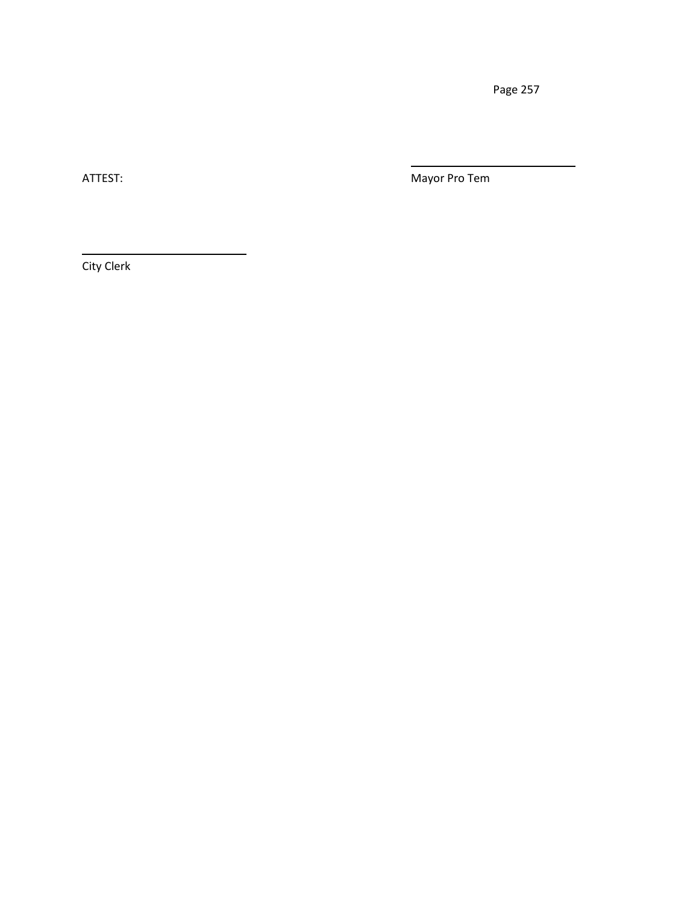ATTEST: Mayor Pro Tem

City Clerk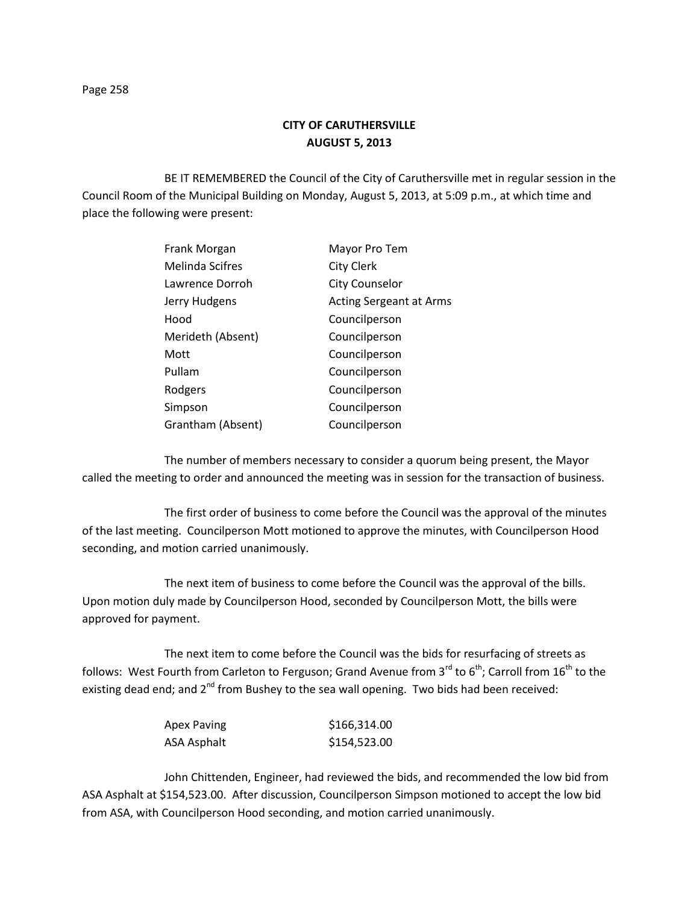BE IT REMEMBERED the Council of the City of Caruthersville met in regular session in the Council Room of the Municipal Building on Monday, August 5, 2013, at 5:09 p.m., at which time and place the following were present:

| Frank Morgan      | Mayor Pro Tem                  |
|-------------------|--------------------------------|
| Melinda Scifres   | City Clerk                     |
| Lawrence Dorroh   | <b>City Counselor</b>          |
| Jerry Hudgens     | <b>Acting Sergeant at Arms</b> |
| Hood              | Councilperson                  |
| Merideth (Absent) | Councilperson                  |
| Mott              | Councilperson                  |
| Pullam            | Councilperson                  |
| Rodgers           | Councilperson                  |
| Simpson           | Councilperson                  |
| Grantham (Absent) | Councilperson                  |
|                   |                                |

The number of members necessary to consider a quorum being present, the Mayor called the meeting to order and announced the meeting was in session for the transaction of business.

The first order of business to come before the Council was the approval of the minutes of the last meeting. Councilperson Mott motioned to approve the minutes, with Councilperson Hood seconding, and motion carried unanimously.

The next item of business to come before the Council was the approval of the bills. Upon motion duly made by Councilperson Hood, seconded by Councilperson Mott, the bills were approved for payment.

The next item to come before the Council was the bids for resurfacing of streets as follows: West Fourth from Carleton to Ferguson; Grand Avenue from 3<sup>rd</sup> to 6<sup>th</sup>; Carroll from 16<sup>th</sup> to the existing dead end; and  $2^{nd}$  from Bushey to the sea wall opening. Two bids had been received:

| Apex Paving | \$166,314.00 |
|-------------|--------------|
| ASA Asphalt | \$154,523.00 |

John Chittenden, Engineer, had reviewed the bids, and recommended the low bid from ASA Asphalt at \$154,523.00. After discussion, Councilperson Simpson motioned to accept the low bid from ASA, with Councilperson Hood seconding, and motion carried unanimously.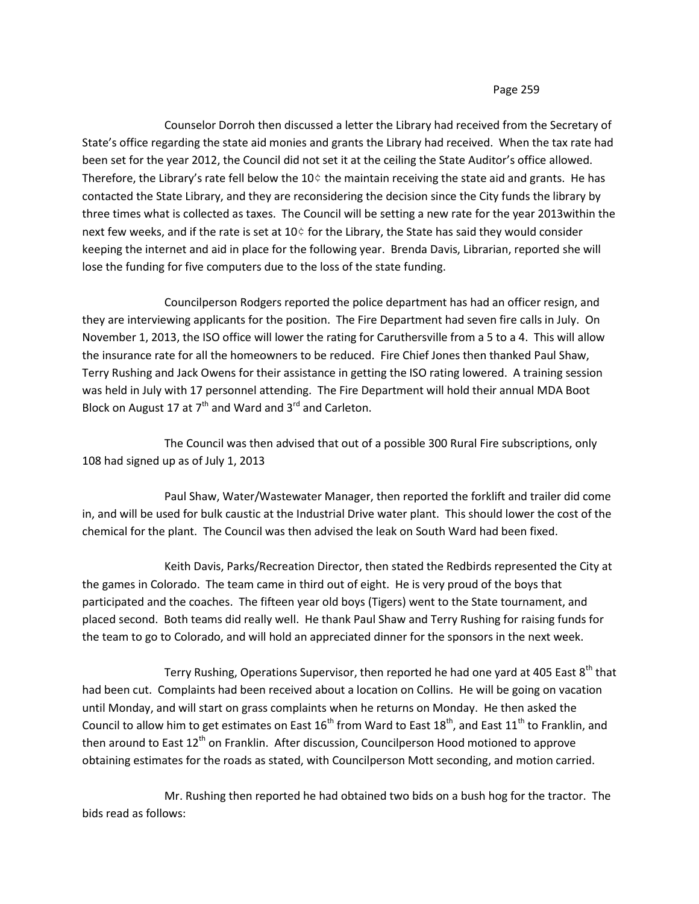Counselor Dorroh then discussed a letter the Library had received from the Secretary of State's office regarding the state aid monies and grants the Library had received. When the tax rate had been set for the year 2012, the Council did not set it at the ceiling the State Auditor's office allowed. Therefore, the Library's rate fell below the 10 $\diamond$  the maintain receiving the state aid and grants. He has contacted the State Library, and they are reconsidering the decision since the City funds the library by three times what is collected as taxes. The Council will be setting a new rate for the year 2013within the next few weeks, and if the rate is set at 10¢ for the Library, the State has said they would consider keeping the internet and aid in place for the following year. Brenda Davis, Librarian, reported she will lose the funding for five computers due to the loss of the state funding.

Councilperson Rodgers reported the police department has had an officer resign, and they are interviewing applicants for the position. The Fire Department had seven fire calls in July. On November 1, 2013, the ISO office will lower the rating for Caruthersville from a 5 to a 4. This will allow the insurance rate for all the homeowners to be reduced. Fire Chief Jones then thanked Paul Shaw, Terry Rushing and Jack Owens for their assistance in getting the ISO rating lowered. A training session was held in July with 17 personnel attending. The Fire Department will hold their annual MDA Boot Block on August 17 at  $7<sup>th</sup>$  and Ward and  $3<sup>rd</sup>$  and Carleton.

The Council was then advised that out of a possible 300 Rural Fire subscriptions, only 108 had signed up as of July 1, 2013

Paul Shaw, Water/Wastewater Manager, then reported the forklift and trailer did come in, and will be used for bulk caustic at the Industrial Drive water plant. This should lower the cost of the chemical for the plant. The Council was then advised the leak on South Ward had been fixed.

Keith Davis, Parks/Recreation Director, then stated the Redbirds represented the City at the games in Colorado. The team came in third out of eight. He is very proud of the boys that participated and the coaches. The fifteen year old boys (Tigers) went to the State tournament, and placed second. Both teams did really well. He thank Paul Shaw and Terry Rushing for raising funds for the team to go to Colorado, and will hold an appreciated dinner for the sponsors in the next week.

Terry Rushing, Operations Supervisor, then reported he had one yard at 405 East 8<sup>th</sup> that had been cut. Complaints had been received about a location on Collins. He will be going on vacation until Monday, and will start on grass complaints when he returns on Monday. He then asked the Council to allow him to get estimates on East  $16^{th}$  from Ward to East  $18^{th}$ , and East  $11^{th}$  to Franklin, and then around to East 12<sup>th</sup> on Franklin. After discussion, Councilperson Hood motioned to approve obtaining estimates for the roads as stated, with Councilperson Mott seconding, and motion carried.

Mr. Rushing then reported he had obtained two bids on a bush hog for the tractor. The bids read as follows: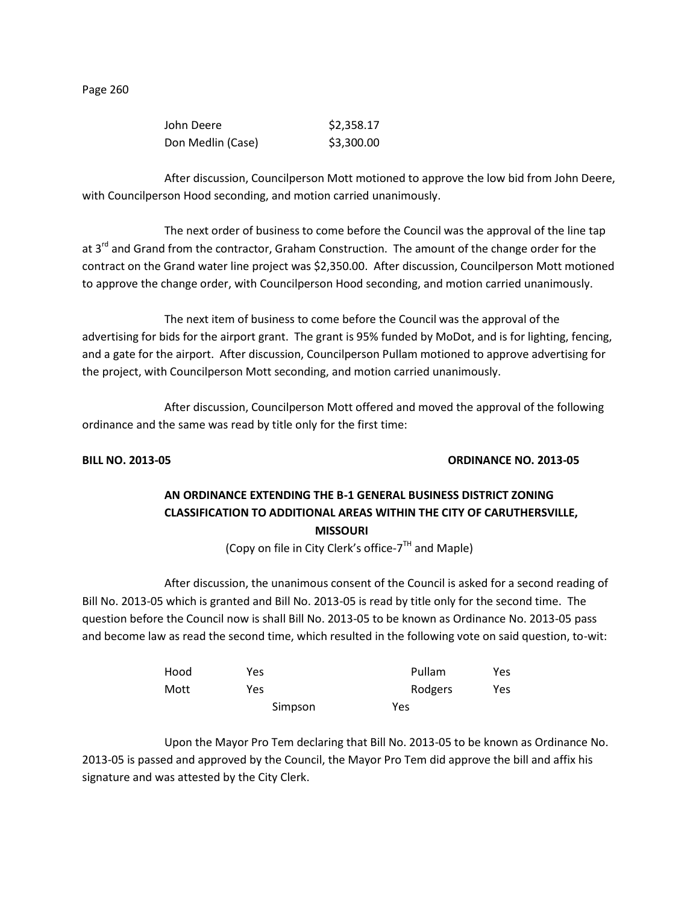| John Deere        | \$2,358.17 |
|-------------------|------------|
| Don Medlin (Case) | \$3,300.00 |

After discussion, Councilperson Mott motioned to approve the low bid from John Deere, with Councilperson Hood seconding, and motion carried unanimously.

The next order of business to come before the Council was the approval of the line tap at 3<sup>rd</sup> and Grand from the contractor, Graham Construction. The amount of the change order for the contract on the Grand water line project was \$2,350.00. After discussion, Councilperson Mott motioned to approve the change order, with Councilperson Hood seconding, and motion carried unanimously.

The next item of business to come before the Council was the approval of the advertising for bids for the airport grant. The grant is 95% funded by MoDot, and is for lighting, fencing, and a gate for the airport. After discussion, Councilperson Pullam motioned to approve advertising for the project, with Councilperson Mott seconding, and motion carried unanimously.

After discussion, Councilperson Mott offered and moved the approval of the following ordinance and the same was read by title only for the first time:

#### **BILL NO. 2013-05 ORDINANCE NO. 2013-05**

# **AN ORDINANCE EXTENDING THE B-1 GENERAL BUSINESS DISTRICT ZONING CLASSIFICATION TO ADDITIONAL AREAS WITHIN THE CITY OF CARUTHERSVILLE, MISSOURI**

(Copy on file in City Clerk's office-7<sup>TH</sup> and Maple)

After discussion, the unanimous consent of the Council is asked for a second reading of Bill No. 2013-05 which is granted and Bill No. 2013-05 is read by title only for the second time. The question before the Council now is shall Bill No. 2013-05 to be known as Ordinance No. 2013-05 pass and become law as read the second time, which resulted in the following vote on said question, to-wit:

| Hood | Yes     | Pullam  | Yes |
|------|---------|---------|-----|
| Mott | Yes     | Rodgers | Yes |
|      | Simpson | Yes     |     |

Upon the Mayor Pro Tem declaring that Bill No. 2013-05 to be known as Ordinance No. 2013-05 is passed and approved by the Council, the Mayor Pro Tem did approve the bill and affix his signature and was attested by the City Clerk.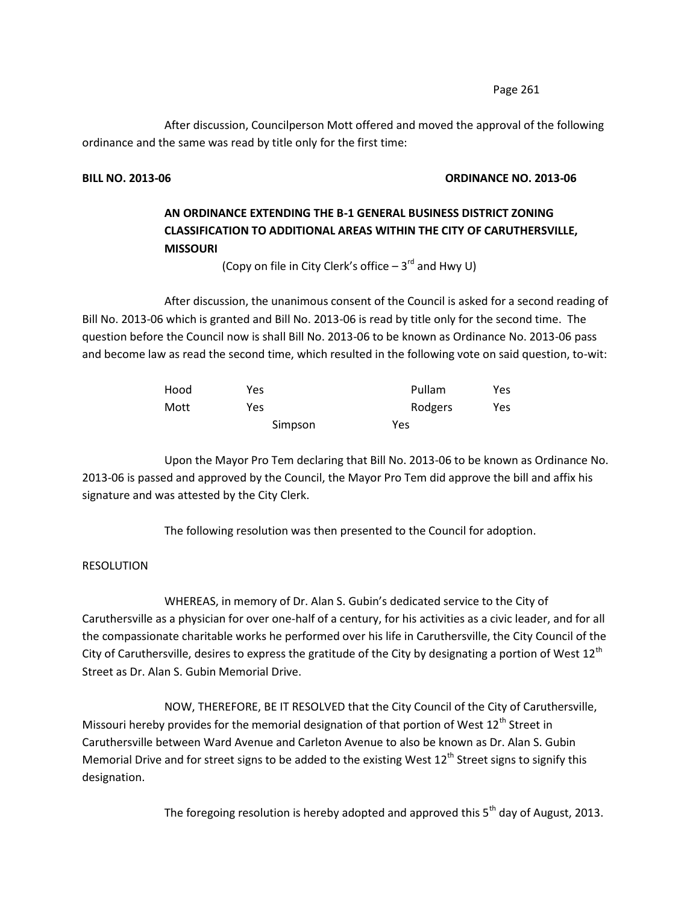After discussion, Councilperson Mott offered and moved the approval of the following ordinance and the same was read by title only for the first time:

## **BILL NO. 2013-06 ORDINANCE NO. 2013-06**

# **AN ORDINANCE EXTENDING THE B-1 GENERAL BUSINESS DISTRICT ZONING CLASSIFICATION TO ADDITIONAL AREAS WITHIN THE CITY OF CARUTHERSVILLE, MISSOURI**

(Copy on file in City Clerk's office  $-3<sup>rd</sup>$  and Hwy U)

After discussion, the unanimous consent of the Council is asked for a second reading of Bill No. 2013-06 which is granted and Bill No. 2013-06 is read by title only for the second time. The question before the Council now is shall Bill No. 2013-06 to be known as Ordinance No. 2013-06 pass and become law as read the second time, which resulted in the following vote on said question, to-wit:

| Hood | Yes     | Pullam  | Yes. |
|------|---------|---------|------|
| Mott | Yes     | Rodgers | Yes  |
|      | Simpson | Yes     |      |

Upon the Mayor Pro Tem declaring that Bill No. 2013-06 to be known as Ordinance No. 2013-06 is passed and approved by the Council, the Mayor Pro Tem did approve the bill and affix his signature and was attested by the City Clerk.

The following resolution was then presented to the Council for adoption.

### RESOLUTION

WHEREAS, in memory of Dr. Alan S. Gubin's dedicated service to the City of Caruthersville as a physician for over one-half of a century, for his activities as a civic leader, and for all the compassionate charitable works he performed over his life in Caruthersville, the City Council of the City of Caruthersville, desires to express the gratitude of the City by designating a portion of West  $12<sup>th</sup>$ Street as Dr. Alan S. Gubin Memorial Drive.

NOW, THEREFORE, BE IT RESOLVED that the City Council of the City of Caruthersville, Missouri hereby provides for the memorial designation of that portion of West 12<sup>th</sup> Street in Caruthersville between Ward Avenue and Carleton Avenue to also be known as Dr. Alan S. Gubin Memorial Drive and for street signs to be added to the existing West  $12^{\text{th}}$  Street signs to signify this designation.

The foregoing resolution is hereby adopted and approved this  $5<sup>th</sup>$  day of August, 2013.